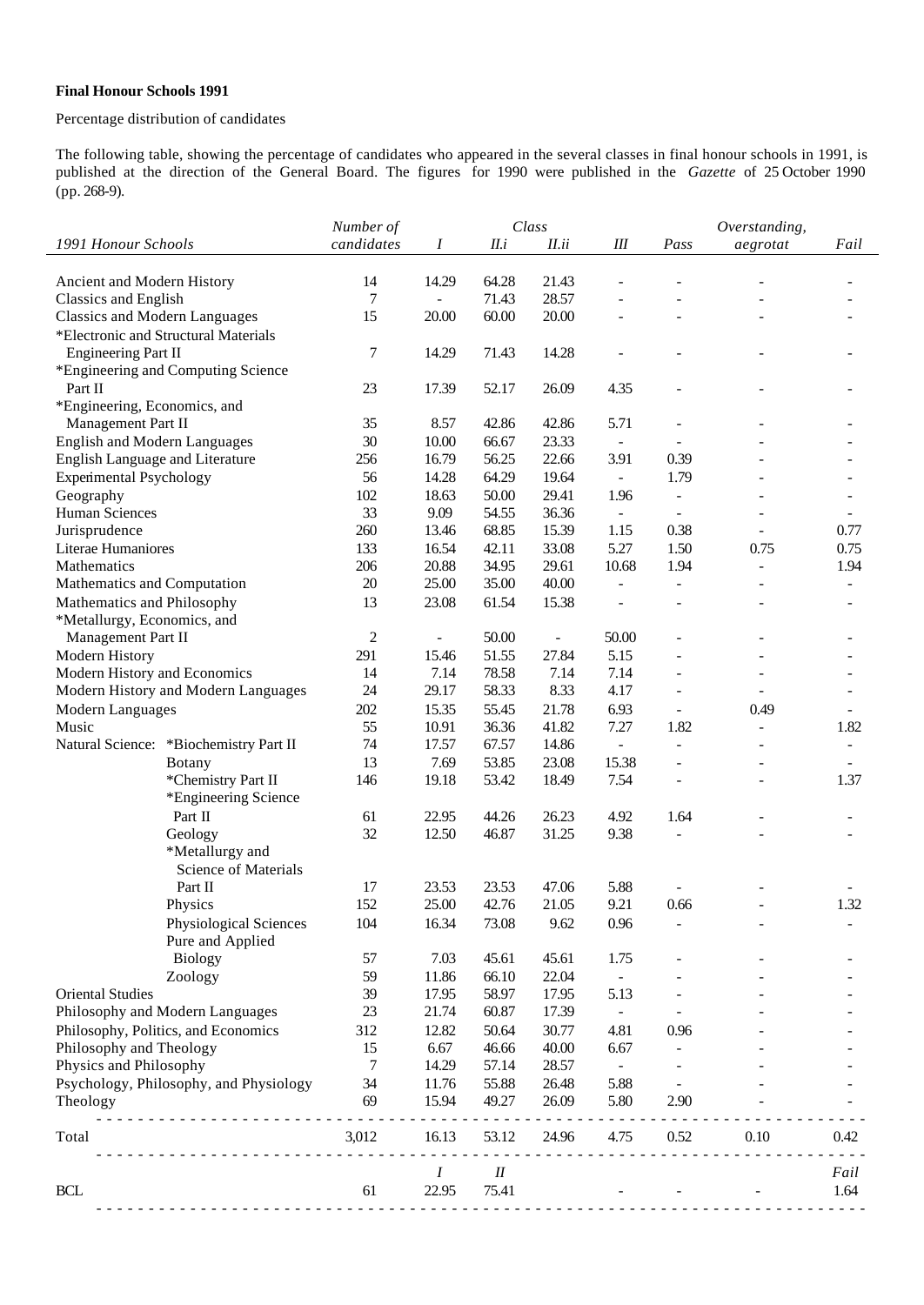## **Final Honour Schools 1991**

## Percentage distribution of candidates

The following table, showing the percentage of candidates who appeared in the several classes in final honour schools in 1991, is published at the direction of the General Board. The figures for 1990 were published in the *Gazette* of 25 October 1990 (pp. 268-9).

|                                                           | Number of      |                          |        | Class                    |                              |                          | Overstanding,            |                              |  |
|-----------------------------------------------------------|----------------|--------------------------|--------|--------------------------|------------------------------|--------------------------|--------------------------|------------------------------|--|
| 1991 Honour Schools                                       | candidates     | Ι                        | II.i   | II.ii                    | $I\!I\!I$                    | Pass                     | aegrotat                 | Fail                         |  |
|                                                           |                |                          |        |                          |                              |                          |                          |                              |  |
| Ancient and Modern History                                | 14             | 14.29                    | 64.28  | 21.43                    |                              |                          |                          |                              |  |
| Classics and English                                      | 7              | $\overline{\phantom{0}}$ | 71.43  | 28.57                    |                              |                          |                          |                              |  |
| <b>Classics and Modern Languages</b>                      | 15             | 20.00                    | 60.00  | 20.00                    |                              |                          |                          |                              |  |
| *Electronic and Structural Materials                      |                |                          |        |                          |                              |                          |                          |                              |  |
| <b>Engineering Part II</b>                                | 7              | 14.29                    | 71.43  | 14.28                    |                              |                          | $\overline{a}$           |                              |  |
| *Engineering and Computing Science                        |                |                          |        |                          |                              |                          |                          |                              |  |
| Part II                                                   | 23             | 17.39                    | 52.17  | 26.09                    | 4.35                         | $\overline{a}$           | $\overline{a}$           |                              |  |
| *Engineering, Economics, and                              |                |                          |        |                          |                              |                          |                          |                              |  |
| Management Part II                                        | 35             | 8.57                     | 42.86  | 42.86                    | 5.71                         | ÷                        |                          |                              |  |
| <b>English and Modern Languages</b>                       | 30             | 10.00                    | 66.67  | 23.33                    | $\qquad \qquad \blacksquare$ |                          |                          |                              |  |
| English Language and Literature                           | 256            | 16.79                    | 56.25  | 22.66                    | 3.91                         | 0.39                     |                          |                              |  |
| <b>Experimental Psychology</b>                            | 56             | 14.28                    | 64.29  | 19.64                    | $\blacksquare$               | 1.79                     |                          |                              |  |
| Geography                                                 | 102            | 18.63                    | 50.00  | 29.41                    | 1.96                         | $\blacksquare$           |                          |                              |  |
| Human Sciences                                            | 33             | 9.09                     | 54.55  | 36.36                    | $\overline{\phantom{a}}$     | $\blacksquare$           |                          |                              |  |
| Jurisprudence                                             | 260            | 13.46                    | 68.85  | 15.39                    | 1.15                         | 0.38                     |                          | 0.77                         |  |
| Literae Humaniores                                        | 133            | 16.54                    | 42.11  | 33.08                    | 5.27                         | 1.50                     | 0.75                     | 0.75                         |  |
| Mathematics                                               | 206<br>20      | 20.88<br>25.00           | 34.95  | 29.61                    | 10.68                        | 1.94                     | $\overline{\phantom{a}}$ | 1.94                         |  |
| Mathematics and Computation                               | 13             |                          | 35.00  | 40.00                    | $\frac{1}{2}$                | $\overline{\phantom{a}}$ | $\overline{\phantom{a}}$ | $\qquad \qquad \blacksquare$ |  |
| Mathematics and Philosophy<br>*Metallurgy, Economics, and |                | 23.08                    | 61.54  | 15.38                    | $\overline{a}$               | $\overline{\phantom{a}}$ | $\overline{\phantom{a}}$ | $\overline{\phantom{a}}$     |  |
| Management Part II                                        | $\overline{c}$ |                          | 50.00  | $\overline{\phantom{a}}$ | 50.00                        | ÷                        |                          |                              |  |
| Modern History                                            | 291            |                          | 51.55  | 27.84                    | 5.15                         |                          |                          |                              |  |
| Modern History and Economics                              | 14             | 15.46<br>7.14            | 78.58  | 7.14                     | 7.14                         |                          |                          |                              |  |
| Modern History and Modern Languages                       | 24             | 29.17                    | 58.33  | 8.33                     | 4.17                         | ÷                        |                          |                              |  |
| Modern Languages                                          | 202            | 15.35                    | 55.45  | 21.78                    | 6.93                         |                          | 0.49                     |                              |  |
| Music                                                     | 55             | 10.91                    | 36.36  | 41.82                    | 7.27                         | 1.82                     | $\overline{\phantom{a}}$ | 1.82                         |  |
| Natural Science: *Biochemistry Part II                    | 74             | 17.57                    | 67.57  | 14.86                    | $\overline{\phantom{a}}$     | $\overline{\phantom{0}}$ |                          | $\overline{\phantom{a}}$     |  |
| Botany                                                    | 13             | 7.69                     | 53.85  | 23.08                    | 15.38                        |                          |                          |                              |  |
| *Chemistry Part II                                        | 146            | 19.18                    | 53.42  | 18.49                    | 7.54                         | ÷                        | $\overline{a}$           | 1.37                         |  |
| *Engineering Science                                      |                |                          |        |                          |                              |                          |                          |                              |  |
| Part II                                                   | 61             | 22.95                    | 44.26  | 26.23                    | 4.92                         | 1.64                     |                          |                              |  |
| Geology                                                   | 32             | 12.50                    | 46.87  | 31.25                    | 9.38                         | $\overline{\phantom{a}}$ |                          |                              |  |
| *Metallurgy and                                           |                |                          |        |                          |                              |                          |                          |                              |  |
| <b>Science of Materials</b>                               |                |                          |        |                          |                              |                          |                          |                              |  |
| Part II                                                   | 17             | 23.53                    | 23.53  | 47.06                    | 5.88                         |                          |                          |                              |  |
| Physics                                                   | 152            | 25.00                    | 42.76  | 21.05                    | 9.21                         | 0.66                     |                          | 1.32                         |  |
| Physiological Sciences                                    | 104            | 16.34                    | 73.08  | 9.62                     | 0.96                         |                          |                          |                              |  |
| Pure and Applied                                          |                |                          |        |                          |                              |                          |                          |                              |  |
| <b>Biology</b>                                            | 57             | 7.03                     | 45.61  | 45.61                    | 1.75                         |                          |                          |                              |  |
| Zoology                                                   | 59             | 11.86                    | 66.10  | 22.04                    | $\equiv$                     |                          |                          |                              |  |
| <b>Oriental Studies</b>                                   | 39             | 17.95                    | 58.97  | 17.95                    | 5.13                         |                          |                          |                              |  |
| Philosophy and Modern Languages                           | 23             | 21.74                    | 60.87  | 17.39                    | $\overline{\phantom{a}}$     |                          |                          |                              |  |
| Philosophy, Politics, and Economics                       | 312            | 12.82                    | 50.64  | 30.77                    | 4.81                         | 0.96                     |                          |                              |  |
| Philosophy and Theology                                   | 15             | 6.67                     | 46.66  | 40.00                    | 6.67                         |                          |                          |                              |  |
| Physics and Philosophy                                    | 7              | 14.29                    | 57.14  | 28.57                    | $\blacksquare$               |                          |                          |                              |  |
| Psychology, Philosophy, and Physiology                    | 34             | 11.76                    | 55.88  | 26.48                    | 5.88                         |                          |                          |                              |  |
| Theology                                                  | 69             | 15.94                    | 49.27  | 26.09                    | 5.80                         | 2.90                     |                          |                              |  |
| Total                                                     | 3,012          | 16.13                    | 53.12  | 24.96                    | 4.75                         | 0.52                     | 0.10                     | 0.42                         |  |
|                                                           |                | $\boldsymbol{I}$         | $I\!I$ |                          |                              |                          |                          | Fail                         |  |
| <b>BCL</b>                                                | 61             | 22.95                    | 75.41  |                          |                              |                          |                          | 1.64                         |  |